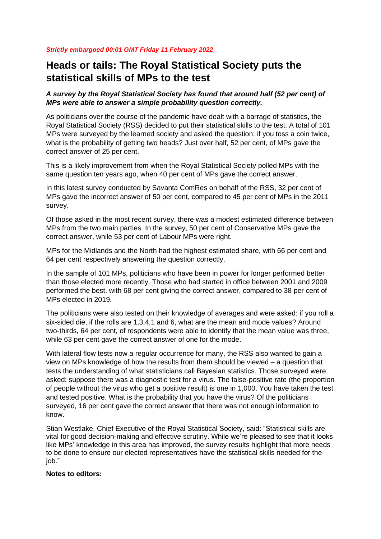## *Strictly embargoed 00:01 GMT Friday 11 February 2022*

## **Heads or tails: The Royal Statistical Society puts the statistical skills of MPs to the test**

*A survey by the Royal Statistical Society has found that around half (52 per cent) of MPs were able to answer a simple probability question correctly.*

As politicians over the course of the pandemic have dealt with a barrage of statistics, the Royal Statistical Society (RSS) decided to put their statistical skills to the test. A total of 101 MPs were surveyed by the learned society and asked the question: if you toss a coin twice, what is the probability of getting two heads? Just over half, 52 per cent, of MPs gave the correct answer of 25 per cent.

This is a likely improvement from when the Royal Statistical Society polled MPs with the same question ten years ago, when 40 per cent of MPs gave the correct answer.

In this latest survey conducted by Savanta ComRes on behalf of the RSS, 32 per cent of MPs gave the incorrect answer of 50 per cent, compared to 45 per cent of MPs in the 2011 survey.

Of those asked in the most recent survey, there was a modest estimated difference between MPs from the two main parties. In the survey, 50 per cent of Conservative MPs gave the correct answer, while 53 per cent of Labour MPs were right.

MPs for the Midlands and the North had the highest estimated share, with 66 per cent and 64 per cent respectively answering the question correctly.

In the sample of 101 MPs, politicians who have been in power for longer performed better than those elected more recently. Those who had started in office between 2001 and 2009 performed the best, with 68 per cent giving the correct answer, compared to 38 per cent of MPs elected in 2019.

The politicians were also tested on their knowledge of averages and were asked: if you roll a six-sided die, if the rolls are 1,3,4,1 and 6, what are the mean and mode values? Around two-thirds, 64 per cent, of respondents were able to identify that the mean value was three, while 63 per cent gave the correct answer of one for the mode.

With lateral flow tests now a regular occurrence for many, the RSS also wanted to gain a view on MPs knowledge of how the results from them should be viewed – a question that tests the understanding of what statisticians call Bayesian statistics. Those surveyed were asked: suppose there was a diagnostic test for a virus. The false-positive rate (the proportion of people without the virus who get a positive result) is one in 1,000. You have taken the test and tested positive. What is the probability that you have the virus? Of the politicians surveyed, 16 per cent gave the correct answer that there was not enough information to know.

Stian Westlake, Chief Executive of the Royal Statistical Society, said: "Statistical skills are vital for good decision-making and effective scrutiny. While we're pleased to see that it looks like MPs' knowledge in this area has improved, the survey results highlight that more needs to be done to ensure our elected representatives have the statistical skills needed for the job."

## **Notes to editors:**